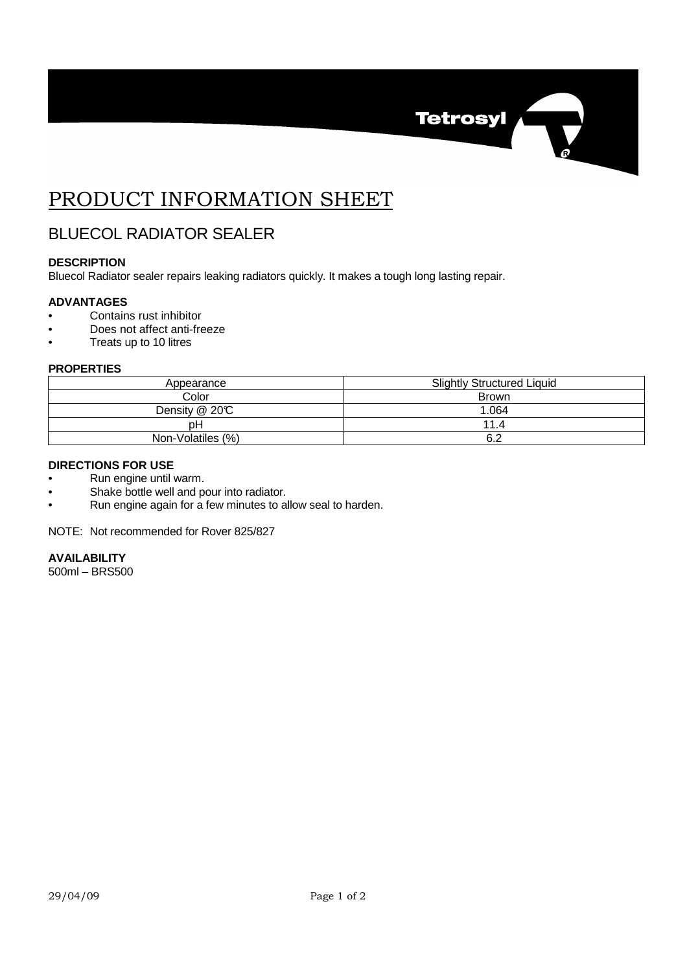

# PRODUCT INFORMATION SHEET

# BLUECOL RADIATOR SEALER

# **DESCRIPTION**

Bluecol Radiator sealer repairs leaking radiators quickly. It makes a tough long lasting repair.

# **ADVANTAGES**

- Contains rust inhibitor
- Does not affect anti-freeze
- Treats up to 10 litres

#### **PROPERTIES**

| Appearance        | <b>Slightly Structured Liquid</b> |
|-------------------|-----------------------------------|
| Color             | Brown                             |
| Density @ 20°C    | 1.064                             |
| pН                | 11.4                              |
| Non-Volatiles (%) | 6.2                               |

# **DIRECTIONS FOR USE**

- Run engine until warm.
- Shake bottle well and pour into radiator.
- Run engine again for a few minutes to allow seal to harden.

NOTE: Not recommended for Rover 825/827

#### **AVAILABILITY**

500ml – BRS500